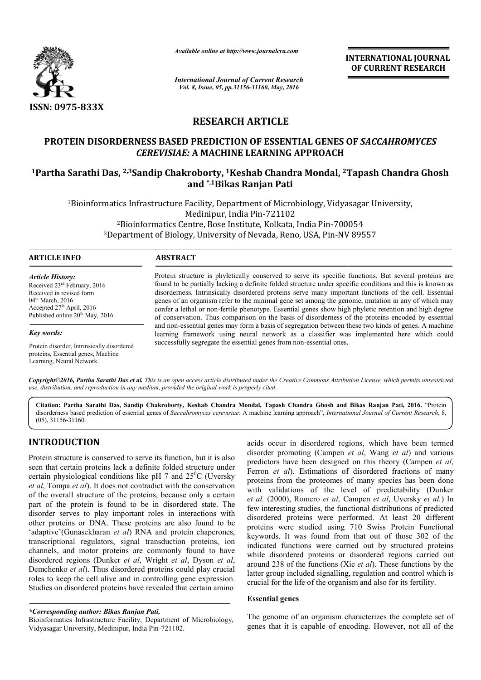

*Available online at http://www.journalcra.com*

*International Journal of Current Research Vol. 8, Issue, 05, pp.31156-31160, May, 2016*

**INTERNATIONAL JOURNAL OF CURRENT RESEARCH** 

# **RESEARCH ARTICLE**

## **PROTEIN DISORDERNESS BASED PREDICTION OF ESSENTIAL GE GENES OF NES OF** *SACCAHROMYCES CEREVISIAE:* **A MACHINE LEARNING APPROACH**

## <sup>1</sup>Partha Sarathi Das, <sup>2,3</sup>Sandip Chakroborty, <sup>1</sup>Keshab Chandra Mondal, <sup>2</sup>Tapash Chandra Ghosh **and \*,1Bikas Ranjan Pati**

<sup>1</sup>Bioinformatics Infrastructure Facility, Department of Microbiology, Vidyasagar University,<br>Medinipur, India Pin-721102<br><sup>2</sup>Bioinformatics Centre, Bose Institute, Kolkata, India Pin-700054<br><sup>3</sup>Department of Biology, Univer 2Bioinformatics Centre, Bioinformatics Bose Institute, Kolkata, India Pin-700054 <sup>3</sup>Department of Biology, University of Nevada, Reno, USA, Pin-NV 89557

 $\overline{a}$ 

### **ARTICLE INFO ABSTRACT**

*Article History:* Received 23rd February, 2016 Received in revised form 04<sup>th</sup> March, 2016 Accepted 27<sup>th</sup> April, 2016 Published online  $20^{th}$  May, 2016

*Key words:*

Protein disorder, Intrinsically disordered proteins, Essential genes, Machine Learning, Neural Network.

#### Protein structure is phyletically conserved to serve its specific functions. But several proteins are found to be partially lacking a definite folded structure under specific conditions and this is known as found to be partially lacking a definite folded structure under specific conditions and this is known as disorderness. Intrinsically disordered proteins serve many important functions of the cell. Essential genes of an organism refer to the minimal gene set among the genome, mutation in any of which may confer a lethal or non-fertile phenotype. Essential genes show high phyletic retention and high degree of conservation. Thus c comparison on the basis of disorderness of the proteins encoded by essential and non-essential genes may form a basis of segregation between these two kinds of genes. learning framework using neural network as a classifier was implemented here which could successfully segregate the essential genes from non-essential ones. genes of an organism refer to the minimal gene set among the genome, mutation in any of which may<br>confer a lethal or non-fertile phenotype. Essential genes show high phyletic retention and high degree<br>of conservation. Thus

*Copyright©2016, Partha Sarathi Das et al. This is an open access article distributed under the Creative Commons Att Attribution License, which ribution permits unrestricted use, distribution, and reproduction in any medium, provided the original work is properly cited.*

**Citation: Partha Sarathi Das, Sandip Chakroborty, Keshab Chandra Mondal, Tapash Chandra Ghosh and ra Tapash and Bikas Ranjan Pati, 2016.** "Protein disorderness based prediction of essential genes of *Saccahromyces cerevisiae*: A machine learning approach", *International Journal of Current Research*, 8, (05), 31156-31160.

## **INTRODUCTION**

Protein structure is conserved to serve its function, but it is also seen that certain proteins lack a definite folded structure under certain physiological conditions like pH  $7$  and  $25\text{°C}$  (Uversky *et al*, Tompa *et al*). It does not contradict with the conservation of the overall structure of the proteins, because only a certain part of the protein is found to be in disordered state. The disorder serves to play important roles in interactions with other proteins or DNA. These proteins are also found to be 'adaptive'(Gunasekharan *et al*) RNA and protein chaperones, transcriptional regulators, signal transduction proteins, ion channels, and motor proteins are commonly found to have disordered regions (Dunker *et al*, Wright *et al* , Dyson *et al*, Demchenko et al). Thus disordered proteins could play crucial roles to keep the cell alive and in controlling gene expression. Studies on disordered proteins have revealed that certain amino

acids occur in disordered regions, which have been termed disorder promoting (Campen disorder promoting (Campen *et al*, Wang *et al*) and various predictors have been designed on this theory (Campen et al, Ferron *et al*). Estimations of disordered fractions of many proteins from the proteomes of many species has been done Ferron *et al*). Estimations of disordered fractions of many proteins from the proteomes of many species has been done with validations of the level of predictability (Dunker *et al.* (2000), Romero *et al*, Campen *et al*, Uversky *et al.*) In few interesting studies, the functional distributions of predicted disordered proteins were performed. At least 20 different proteins were studied using 710 Swiss Protein Functional keywords. It was found from that out of those 302 of the proteins were studied using 710 Swiss Protein Functional keywords. It was found from that out of those 302 of the indicated functions were carried out by structured proteins while disordered proteins or disordered regions carried out while disordered proteins or disordered regions carried out around 238 of the functions (Xie *et al*). These functions by the latter group included signalling, regulation and control which is crucial for the life of the organism and also for its fertility. **INTERNATIONAL JOURNAL OF CURRENT RESEARCH**<br> **AL GENES OF SACCAHROMYCES**<br> **PPROACH**<br> **AL GENES OF SACCAHROMYCES**<br> **PPROACH**<br> **Mondal, <sup>2</sup>Tapash Chandra Ghosh**<br>
iology, Vidyasagar University,<br>
mdia Pin-700054<br>
USA, Pin-NV

#### **Essential genes**

The genome of an organism characterizes the complete set of genes that it is capable of encoding. However, not all of the

*<sup>\*</sup>Corresponding author: Bikas Ranjan Pati,*

Bioinformatics Infrastructure Facility, Department of Microbiology, Vidyasagar University, Medinipur, India Pin-721102 721102.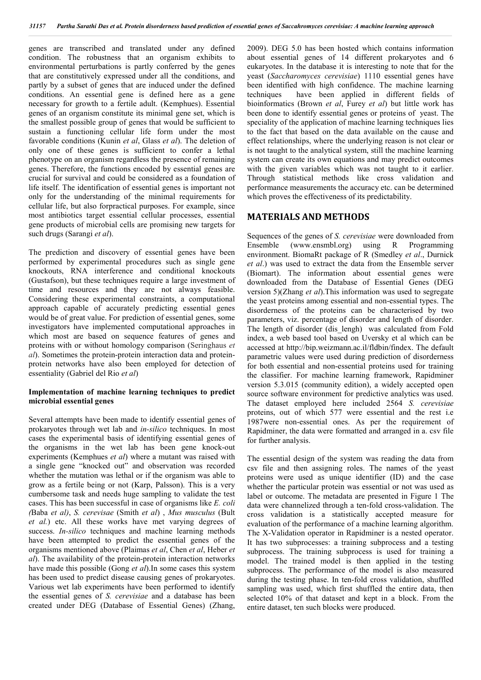genes are transcribed and translated under any defined condition. The robustness that an organism exhibits to environmental perturbations is partly conferred by the genes that are constitutively expressed under all the conditions, and partly by a subset of genes that are induced under the defined conditions. An essential gene is defined here as a gene necessary for growth to a fertile adult. (Kemphues). Essential genes of an organism constitute its minimal gene set, which is the smallest possible group of genes that would be sufficient to sustain a functioning cellular life form under the most favorable conditions (Kunin *et al*, Glass *et al*). The deletion of only one of these genes is sufficient to confer a lethal phenotype on an organism regardless the presence of remaining genes. Therefore, the functions encoded by essential genes are crucial for survival and could be considered as a foundation of life itself. The identification of essential genes is important not only for the understanding of the minimal requirements for cellular life, but also forpractical purposes. For example, since most antibiotics target essential cellular processes, essential gene products of microbial cells are promising new targets for such drugs (Sarangi *et al*).

The prediction and discovery of essential genes have been performed by experimental procedures such as single gene knockouts, RNA interference and conditional knockouts (Gustafson), but these techniques require a large investment of time and resources and they are not always feasible. Considering these experimental constraints, a computational approach capable of accurately predicting essential genes would be of great value. For prediction of essential genes, some investigators have implemented computational approaches in which most are based on sequence features of genes and proteins with or without homology comparison (Seringhaus *et al*). Sometimes the protein-protein interaction data and proteinprotein networks have also been employed for detection of essentiality (Gabriel del Rio *et al*)

### **Implementation of machine learning techniques to predict microbial essential genes**

Several attempts have been made to identify essential genes of prokaryotes through wet lab and *in-silico* techniques. In most cases the experimental basis of identifying essential genes of the organisms in the wet lab has been gene knock-out experiments (Kemphues *et al*) where a mutant was raised with a single gene "knocked out" and observation was recorded whether the mutation was lethal or if the organism was able to grow as a fertile being or not (Karp, Palsson). This is a very cumbersome task and needs huge sampling to validate the test cases. This has been successful in case of organisms like *E. coli (*Baba *et al)*, *S. cerevisae* (Smith *et al*) , *Mus musculus* (Bult *et al.*) etc. All these works have met varying degrees of success. *In-silico* techniques and machine learning methods have been attempted to predict the essential genes of the organisms mentioned above (Plaimas *et al*, Chen *et al*, Heber *et al*). The availability of the protein-protein interaction networks have made this possible (Gong *et al*).In some cases this system has been used to predict disease causing genes of prokaryotes. Various wet lab experiments have been performed to identify the essential genes of *S. cerevisiae* and a database has been created under DEG (Database of Essential Genes) (Zhang,

2009). DEG 5.0 has been hosted which contains information about essential genes of 14 different prokaryotes and 6 eukaryotes. In the database it is interesting to note that for the yeast (*Saccharomyces cerevisiae*) 1110 essential genes have been identified with high confidence. The machine learning techniques have been applied in different fields of bioinformatics (Brown *et al*, Furey *et al*) but little work has been done to identify essential genes or proteins of yeast. The speciality of the application of machine learning techniques lies to the fact that based on the data available on the cause and effect relationships, where the underlying reason is not clear or is not taught to the analytical system, still the machine learning system can create its own equations and may predict outcomes with the given variables which was not taught to it earlier. Through statistical methods like cross validation and performance measurements the accuracy etc. can be determined which proves the effectiveness of its predictability.

## **MATERIALS AND METHODS**

Sequences of the genes of *S. cerevisiae* were downloaded from Ensemble (www.ensmbl.org) using R Programming environment. BiomaRt package of R (Smedley *et al*., Durnick *et al*.) was used to extract the data from the Ensemble server (Biomart). The information about essential genes were downloaded from the Database of Essential Genes (DEG version 5)(Zhang *et al*).This information was used to segregate the yeast proteins among essential and non-essential types. The disorderness of the proteins can be characterised by two parameters, viz. percentage of disorder and length of disorder. The length of disorder (dis lengh) was calculated from Fold index, a web based tool based on Uversky et al which can be accessed at http://bip.weizmann.ac.il/fldbin/findex. The default parametric values were used during prediction of disorderness for both essential and non-essential proteins used for training the classifier. For machine learning framework, Rapidminer version 5.3.015 (community edition), a widely accepted open source software environment for predictive analytics was used. The dataset employed here included 2564 *S. cerevisiae* proteins, out of which 577 were essential and the rest i.e 1987were non-essential ones. As per the requirement of Rapidminer, the data were formatted and arranged in a. csv file for further analysis.

The essential design of the system was reading the data from csv file and then assigning roles. The names of the yeast proteins were used as unique identifier (ID) and the case whether the particular protein was essential or not was used as label or outcome. The metadata are presented in Figure 1 The data were channelized through a ten-fold cross-validation. The cross validation is a statistically accepted measure for evaluation of the performance of a machine learning algorithm. The X-Validation operator in Rapidminer is a nested operator. It has two subprocesses: a training subprocess and a testing subprocess. The training subprocess is used for training a model. The trained model is then applied in the testing subprocess. The performance of the model is also measured during the testing phase. In ten-fold cross validation, shuffled sampling was used, which first shuffled the entire data, then selected 10% of that dataset and kept in a block. From the entire dataset, ten such blocks were produced.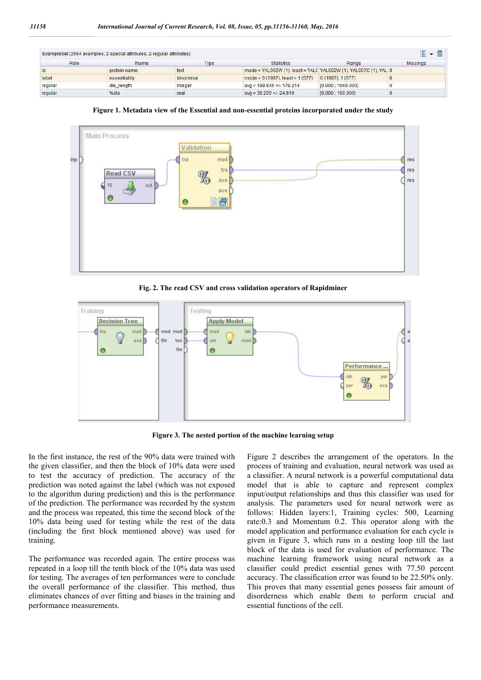| ExampleSet (2564 examples, 2 special attributes, 2 regular attributes) |               |           |                                                                  |                   | ₩ - ■           |
|------------------------------------------------------------------------|---------------|-----------|------------------------------------------------------------------|-------------------|-----------------|
| Role                                                                   | Name          | Type      | <b>Statistics</b>                                                | Range             | <b>Missings</b> |
| <b>id</b>                                                              | protein name  | text      | mode = YAL002W (1), least = YALC YAL002W (1), YAL007C (1), YAL 0 |                   |                 |
| label                                                                  | essentialiity | binominal | mode = $0(1987)$ , least = $1(577)$                              | 0(1987), 1(577)   |                 |
| regular                                                                | dis length    | integer   | $avg = 188.946 + 178.214$                                        | [0.000; 1669.000] |                 |
| regular                                                                | %dis          | real      | $avg = 36.299 + 24.810$                                          | [0.000 : 100.000] |                 |

**Figure 1. Metadata view of the Essential and non-essential proteins incorporated under the study**



**Fig. 2. The read CSV and cross validation operators of Rapidminer**



**Figure 3. The nested portion of the machine learning setup**

In the first instance, the rest of the 90% data were trained with the given classifier, and then the block of 10% data were used to test the accuracy of prediction. The accuracy of the prediction was noted against the label (which was not exposed to the algorithm during prediction) and this is the performance of the prediction. The performance was recorded by the system and the process was repeated, this time the second block of the 10% data being used for testing while the rest of the data (including the first block mentioned above) was used for training.

The performance was recorded again. The entire process was repeated in a loop till the tenth block of the 10% data was used for testing. The averages of ten performances were to conclude the overall performance of the classifier. This method, thus eliminates chances of over fitting and biases in the training and performance measurements.

Figure 2 describes the arrangement of the operators. In the process of training and evaluation, neural network was used as a classifier. A neural network is a powerful computational data model that is able to capture and represent complex input/output relationships and thus this classifier was used for analysis. The parameters used for neural network were as follows: Hidden layers:1, Training cycles: 500, Learning rate:0.3 and Momentum 0.2. This operator along with the model application and performance evaluation for each cycle is given in Figure 3, which runs in a nesting loop till the last block of the data is used for evaluation of performance. The machine learning framework using neural network as a classifier could predict essential genes with 77.50 percent accuracy. The classification error was found to be 22.50% only. This proves that many essential genes possess fair amount of disorderness which enable them to perform crucial and essential functions of the cell.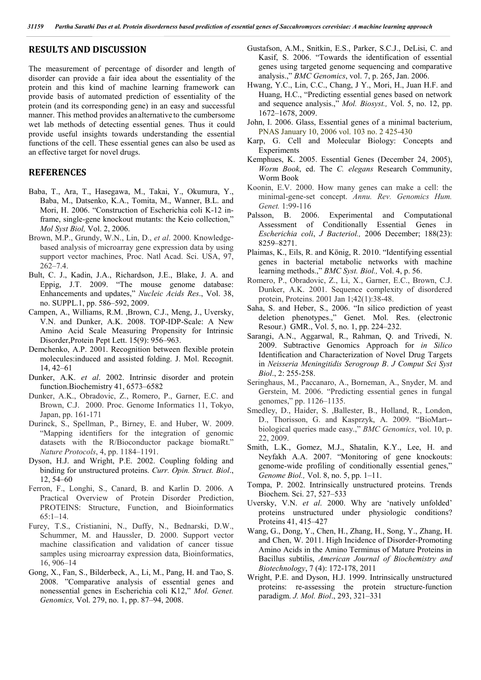## **RESULTS AND DISCUSSION**

The measurement of percentage of disorder and length of disorder can provide a fair idea about the essentiality of the protein and this kind of machine learning framework can provide basis of automated prediction of essentiality of the protein (and its corresponding gene) in an easy and successful manner. This method provides an alternative to the cumbersome wet lab methods of detecting essential genes. Thus it could provide useful insights towards understanding the essential functions of the cell. These essential genes can also be used as an effective target for novel drugs.

## **REFERENCES**

- Baba, T., Ara, T., Hasegawa, M., Takai, Y., Okumura, Y., Baba, M., Datsenko, K.A., Tomita, M., Wanner, B.L. and Mori, H. 2006. "Construction of Escherichia coli K-12 inframe, single-gene knockout mutants: the Keio collection," *Mol Syst Biol,* Vol. 2, 2006.
- Brown, M.P., Grundy, W.N., Lin, D., *et al*. 2000. Knowledgebased analysis of microarray gene expression data by using support vector machines, Proc. Natl Acad. Sci. USA, 97, 262–7.4.
- Bult, C. J., Kadin, J.A., Richardson, J.E., Blake, J. A. and Eppig, J.T. 2009. "The mouse genome database: Enhancements and updates," *Nucleic Acids Res*., Vol. 38, no. SUPPL.1, pp. 586–592, 2009.
- Campen, A., Williams, R.M. ,Brown, C.J., Meng, J., Uversky, V.N. and Dunker, A.K. 2008. TOP-IDP-Scale: A New Amino Acid Scale Measuring Propensity for Intrinsic Disorder,Protein Pept Lett. 15(9): 956–963.
- Demchenko, A.P. 2001. Recognition between flexible protein molecules:induced and assisted folding. J. Mol. Recognit. 14, 42–61
- Dunker, A.K. *et al*. 2002. Intrinsic disorder and protein function.Biochemistry 41, 6573–6582
- Dunker, A.K., Obradovic, Z., Romero, P., Garner, E.C. and Brown, C.J. 2000. Proc. Genome Informatics 11, Tokyo, Japan, pp. 161-171
- Durinck, S., Spellman, P., Birney, E. and Huber, W. 2009. "Mapping identifiers for the integration of genomic datasets with the R/Bioconductor package biomaRt." *Nature Protocols*, 4, pp. 1184–1191.
- Dyson, H.J. and Wright, P.E. 2002. Coupling folding and binding for unstructured proteins. *Curr. Opin. Struct. Biol*., 12, 54–60
- Ferron, F., Longhi, S., Canard, B. and Karlin D. 2006. A Practical Overview of Protein Disorder Prediction, PROTEINS: Structure, Function, and Bioinformatics 65:1–14.
- Furey, T.S., Cristianini, N., Duffy, N., Bednarski, D.W., Schummer, M. and Haussler, D. 2000. Support vector machine classification and validation of cancer tissue samples using microarray expression data, Bioinformatics, 16, 906–14
- Gong, X., Fan, S., Bilderbeck, A., Li, M., Pang, H. and Tao, S. 2008. "Comparative analysis of essential genes and nonessential genes in Escherichia coli K12," *Mol. Genet. Genomics,* Vol. 279, no. 1, pp. 87–94, 2008.
- Gustafson, A.M., Snitkin, E.S., Parker, S.C.J., DeLisi, C. and Kasif, S. 2006. "Towards the identification of essential genes using targeted genome sequencing and comparative analysis.," *BMC Genomics*, vol. 7, p. 265, Jan. 2006.
- anarysis., *Divi*c Generates, i.e.,  $y_1$ ,  $z_2$ ,  $z_3$ ,  $z_4$ ,  $y_5$ ,  $y_6$ ,  $y_7$ ,  $y_8$ ,  $y_7$ ,  $y_9$ ,  $y_9$ ,  $y_1$ ,  $y_1$ ,  $y_2$ ,  $y_3$ ,  $y_1$ ,  $y_2$ ,  $y_3$ ,  $y_4$ ,  $y_7$ ,  $y_8$ ,  $y_9$ ,  $y_9$ ,  $y_9$ ,  $y_9$ ,  $y_9$ ,  $y_9$ Huang, H.C., "Predicting essential genes based on network and sequence analysis.," *Mol. Biosyst.,* Vol. 5, no. 12, pp. 1672–1678, 2009.
- John, I. 2006. Glass, Essential genes of a minimal bacterium, PNAS January 10, 2006 vol. 103 no. 2 425-430
- Karp, G. Cell and Molecular Biology: Concepts and Experiments
- Kemphues, K. 2005. Essential Genes (December 24, 2005), *Worm Book*, ed. The *C. elegans* Research Community, Worm Book
- Koonin, E.V. 2000. How many genes can make a cell: the minimal-gene-set concept. *Annu. Rev. Genomics Hum. Genet.* 1:99-116
- Palsson, B. 2006. Experimental and Computational Assessment of Conditionally Essential Genes in *Escherichia coli*, *J Bacteriol.,* 2006 December; 188(23): 8259–8271.
- Plaimas, K., Eils, R. and König, R. 2010. "Identifying essential genes in bacterial metabolic networks with machine learning methods.," *BMC Syst. Biol.,* Vol. 4, p. 56.
- Romero, P., Obradovic, Z., Li, X., Garner, E.C., Brown, C.J. Dunker, A.K. 2001. Sequence complexity of disordered protein, Proteins. 2001 Jan 1;42(1):38-48.
- Saha, S. and Heber, S., 2006. "In silico prediction of yeast deletion phenotypes.," Genet. Mol. Res. (electronic Resour.) GMR., Vol. 5, no. 1, pp. 224–232.
- Sarangi, A.N., Aggarwal, R., Rahman, Q. and Trivedi, N. 2009. Subtractive Genomics Approach for *in Silico*  Identification and Characterization of Novel Drug Targets in *Neisseria Meningitidis Serogroup B*. *J Comput Sci Syst Biol*., 2: 255-258.
- Seringhaus, M., Paccanaro, A., Borneman, A., Snyder, M. and Gerstein, M. 2006. "Predicting essential genes in fungal genomes," pp. 1126–1135.
- Smedley, D., Haider, S. ,Ballester, B., Holland, R., London, D., Thorisson, G. and Kasprzyk, A. 2009. "BioMart- biological queries made easy.," *BMC Genomics*, vol. 10, p. 22, 2009.
- Smith, L.K., Gomez, M.J., Shatalin, K.Y., Lee, H. and Neyfakh A.A. 2007. "Monitoring of gene knockouts: genome-wide profiling of conditionally essential genes," *Genome Biol.,* Vol. 8, no. 5, pp. 1–11.
- Tompa, P. 2002. Intrinsically unstructured proteins. Trends Biochem. Sci. 27, 527–533
- Uversky, V.N. *et al*. 2000. Why are 'natively unfolded' proteins unstructured under physiologic conditions? Proteins 41, 415–427
- Wang, G., Dong, Y., Chen, H., Zhang, H., Song, Y., Zhang, H. and Chen, W. 2011. High Incidence of Disorder-Promoting Amino Acids in the Amino Terminus of Mature Proteins in Bacillus subtilis, *American Journal of Biochemistry and Biotechnology*, 7 (4): 172-178, 2011
- Wright, P.E. and Dyson, H.J. 1999. Intrinsically unstructured proteins: re-assessing the protein structure-function paradigm. *J. Mol. Biol*., 293, 321–331